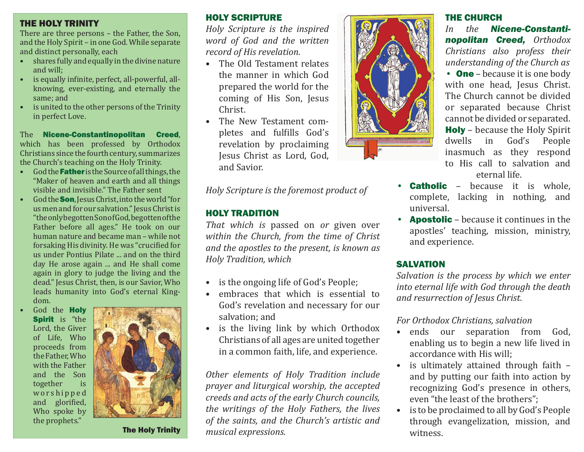### THE HOLY TRINITY

There are three persons – the Father, the Son, and the Holy Spirit – in one God. While separate and distinct personally, each

- shares fully and equally in the divine nature and will;
- is equally infinite, perfect, all-powerful, allknowing, ever-existing, and eternally the same; and
- is united to the other persons of the Trinity in perfect Love.

#### The Nicene-Constantinopolitan Creed, which has been professed by Orthodox Christians since the fourth century, summarizes the Church's teaching on the Holy Trinity.

- God the **Father** is the Source of all things, the "Maker of heaven and earth and all things visible and invisible." The Father sent
- God the Son, Jesus Christ, into the world "for us men and for our salvation." Jesus Christ is "the only begotten Son of God, begotten of the Father before all ages." He took on our human nature and became man – while not forsaking His divinity. He was "crucified for us under Pontius Pilate ... and on the third day He arose again ... and He shall come again in glory to judge the living and the dead." Jesus Christ, then, is our Savior, Who leads humanity into God's eternal Kingdom.
- God the Holy **Spirit** is "the Lord, the Giver of Life, Who proceeds from the Father, Who with the Father and the Son together is <sup>w</sup> <sup>o</sup> <sup>r</sup> <sup>s</sup> h i p p <sup>e</sup> d and glorified, Who spoke by the prophets."



The Holy Trinity

## HOLY SCRIPTURE

*Holy Scripture is the inspired word of God and the written record of His revelation.* 

- The Old Testament relates the manner in which God prepared the world for the coming of His Son, Jesus Christ.
- The New Testament completes and fulfills God's revelation by proclaiming Jesus Christ as Lord, God, and Savior.

*Holy Scripture is the foremost product of*

## HOLY TRADITION

*That which is* passed on *or* given over *within the Church, from the time of Christ and the apostles to the present, is known as Holy Tradition, which* 

- is the ongoing life of God's People;
- embraces that which is essential to God's revelation and necessary for our salvation; and
- is the living link by which Orthodox Christians of all ages are united together in a common faith, life, and experience.

*Other elements of Holy Tradition include prayer and liturgical worship, the accepted creeds and acts of the early Church councils, the writings of the Holy Fathers, the lives of the saints, and the Church's artistic and musical expressions.*



## THE CHURCH

*In the Nicene-Constantinopolitan Creed, Orthodox Christians also profess their understanding of the Church as* • One – because it is one body with one head, Jesus Christ. The Church cannot be divided or separated because Christ cannot be divided or separated. **Holy** – because the Holy Spirit dwells in God's People inasmuch as they respond to His call to salvation and eternal life.

- **Catholic** because it is whole, complete, lacking in nothing, and universal.
- **Apostolic** because it continues in the apostles' teaching, mission, ministry, and experience.

## SALVATION

*Salvation is the process by which we enter into eternal life with God through the death and resurrection of Jesus Christ.*

## *For Orthodox Christians, salvation*

- ends our separation from God, enabling us to begin a new life lived in accordance with His will;
- is ultimately attained through faith and by putting our faith into action by recognizing God's presence in others, even "the least of the brothers";
- is to be proclaimed to all by God's People through evangelization, mission, and witness.